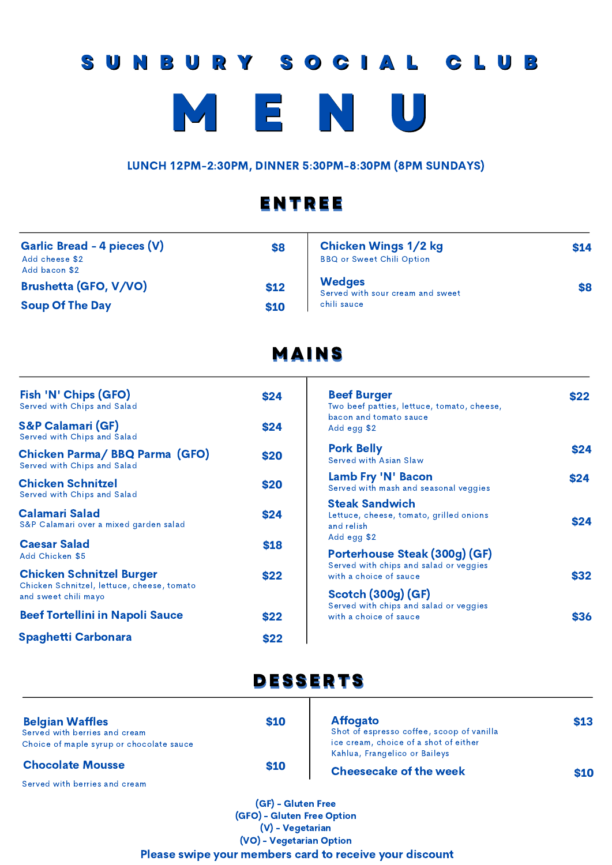# SUNBURY SOCIAL CLUB I E N

LUNCH 12PM-2:30PM, DINNER 5:30PM-8:30PM (8PM SUNDAYS)

## ENTREE

| Garlic Bread - 4 pieces (V)<br>Add cheese \$2<br>Add bacon \$2 | \$8  | <b>Chicken Wings 1/2 kg</b><br><b>BBQ or Sweet Chili Option</b> | \$14 |
|----------------------------------------------------------------|------|-----------------------------------------------------------------|------|
| Brushetta (GFO, V/VO)                                          | \$12 | <b>Wedges</b><br>Served with sour cream and sweet               | \$8  |
| <b>Soup Of The Day</b>                                         | \$10 | chili sauce                                                     |      |

## MAINS

| Fish 'N' Chips (GFO)<br>Served with Chips and Salad                                                   | <b>\$24</b> |
|-------------------------------------------------------------------------------------------------------|-------------|
| <b>S&amp;P Calamari (GF)</b><br>Served with Chips and Salad                                           | \$24        |
| <b>Chicken Parma/ BBQ Parma (GFO)</b><br>Served with Chips and Salad                                  | \$20        |
| <b>Chicken Schnitzel</b><br>Served with Chips and Salad                                               | \$20        |
| <b>Calamari Salad</b><br>S&P Calamari over a mixed garden salad                                       | \$24        |
| <b>Caesar Salad</b><br>Add Chicken \$5                                                                | \$18        |
| <b>Chicken Schnitzel Burger</b><br>Chicken Schnitzel, lettuce, cheese, tomato<br>and sweet chili mayo | \$22        |
| <b>Beef Tortellini in Napoli Sauce</b>                                                                | \$22        |
| <b>Spaghetti Carbonara</b>                                                                            | \$22        |

#### Beef Burger Two beef patties, lettuce, tomato, cheese, bacon and tomato sauce Add egg \$2 **\$22 Pork Belly 624** Served with Asian Slaw Lamb Fry 'N' Bacon **\$24** Steak Sandwich **\$24** Lettuce, cheese, tomato, grilled onions and relish Add egg \$2 Porterhouse Steak (300g) (GF) Served with chips and salad or veggies with a choice of sauce **\$32** Scotch (300g) (GF) **\$36** Served with chips and salad or veggies with a choice of sauce Served with mash and seasonal veggies

## DESSERTS ヿ

| <b>Chocolate Mousse</b>                  | \$10 | <b>Cheesecake of the week</b>             | \$10 |
|------------------------------------------|------|-------------------------------------------|------|
|                                          |      | Kahlua, Frangelico or Baileys             |      |
| Choice of maple syrup or chocolate sauce |      | ice cream, choice of a shot of either     |      |
| Served with berries and cream            |      | Shot of espresso coffee, scoop of vanilla |      |
| <b>Belgian Waffles</b>                   | \$10 | <b>Affogato</b>                           | \$13 |
|                                          |      |                                           |      |

Served with berries and cream

(GF) - Gluten Free (GFO) - Gluten Free Option (V) - Vegetarian (VO) - Vegetarian Option Please swipe your members card to receive your discount